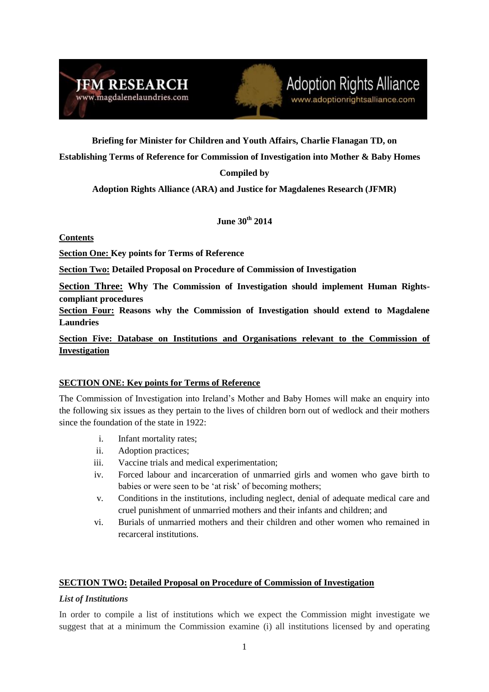



**Briefing for Minister for Children and Youth Affairs, Charlie Flanagan TD, on** 

**Establishing Terms of Reference for Commission of Investigation into Mother & Baby Homes**

# **Compiled by**

**Adoption Rights Alliance (ARA) and Justice for Magdalenes Research (JFMR)**

**June 30th 2014**

## **Contents**

**Section One: Key points for Terms of Reference**

**Section Two: Detailed Proposal on Procedure of Commission of Investigation**

**Section Three: Why The Commission of Investigation should implement Human Rightscompliant procedures** 

**Section Four: Reasons why the Commission of Investigation should extend to Magdalene Laundries**

**Section Five: Database on Institutions and Organisations relevant to the Commission of Investigation**

## **SECTION ONE: Key points for Terms of Reference**

The Commission of Investigation into Ireland's Mother and Baby Homes will make an enquiry into the following six issues as they pertain to the lives of children born out of wedlock and their mothers since the foundation of the state in 1922:

- i. Infant mortality rates;
- ii. Adoption practices;
- iii. Vaccine trials and medical experimentation;
- iv. Forced labour and incarceration of unmarried girls and women who gave birth to babies or were seen to be 'at risk' of becoming mothers;
- v. Conditions in the institutions, including neglect, denial of adequate medical care and cruel punishment of unmarried mothers and their infants and children; and
- vi. Burials of unmarried mothers and their children and other women who remained in recarceral institutions.

## **SECTION TWO: Detailed Proposal on Procedure of Commission of Investigation**

### *List of Institutions*

In order to compile a list of institutions which we expect the Commission might investigate we suggest that at a minimum the Commission examine (i) all institutions licensed by and operating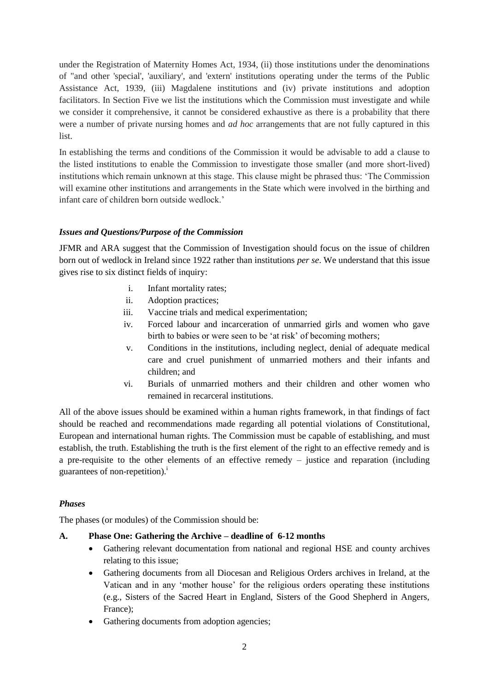under the Registration of Maternity Homes Act, 1934, (ii) those institutions under the denominations of "and other 'special', 'auxiliary', and 'extern' institutions operating under the terms of the Public Assistance Act, 1939, (iii) Magdalene institutions and (iv) private institutions and adoption facilitators. In Section Five we list the institutions which the Commission must investigate and while we consider it comprehensive, it cannot be considered exhaustive as there is a probability that there were a number of private nursing homes and *ad hoc* arrangements that are not fully captured in this list.

In establishing the terms and conditions of the Commission it would be advisable to add a clause to the listed institutions to enable the Commission to investigate those smaller (and more short-lived) institutions which remain unknown at this stage. This clause might be phrased thus: 'The Commission will examine other institutions and arrangements in the State which were involved in the birthing and infant care of children born outside wedlock.'

## *Issues and Questions/Purpose of the Commission*

JFMR and ARA suggest that the Commission of Investigation should focus on the issue of children born out of wedlock in Ireland since 1922 rather than institutions *per se*. We understand that this issue gives rise to six distinct fields of inquiry:

- i. Infant mortality rates;
- ii. Adoption practices;
- iii. Vaccine trials and medical experimentation;
- iv. Forced labour and incarceration of unmarried girls and women who gave birth to babies or were seen to be 'at risk' of becoming mothers;
- v. Conditions in the institutions, including neglect, denial of adequate medical care and cruel punishment of unmarried mothers and their infants and children; and
- vi. Burials of unmarried mothers and their children and other women who remained in recarceral institutions.

All of the above issues should be examined within a human rights framework, in that findings of fact should be reached and recommendations made regarding all potential violations of Constitutional, European and international human rights. The Commission must be capable of establishing, and must establish, the truth. Establishing the truth is the first element of the right to an effective remedy and is a pre-requisite to the other elements of an effective remedy – justice and reparation (including guarantees of non-repetition). $^{i}$ 

### *Phases*

The phases (or modules) of the Commission should be:

### **A. Phase One: Gathering the Archive – deadline of 6-12 months**

- Gathering relevant documentation from national and regional HSE and county archives relating to this issue;
- Gathering documents from all Diocesan and Religious Orders archives in Ireland, at the Vatican and in any 'mother house' for the religious orders operating these institutions (e.g., Sisters of the Sacred Heart in England, Sisters of the Good Shepherd in Angers, France);
- Gathering documents from adoption agencies;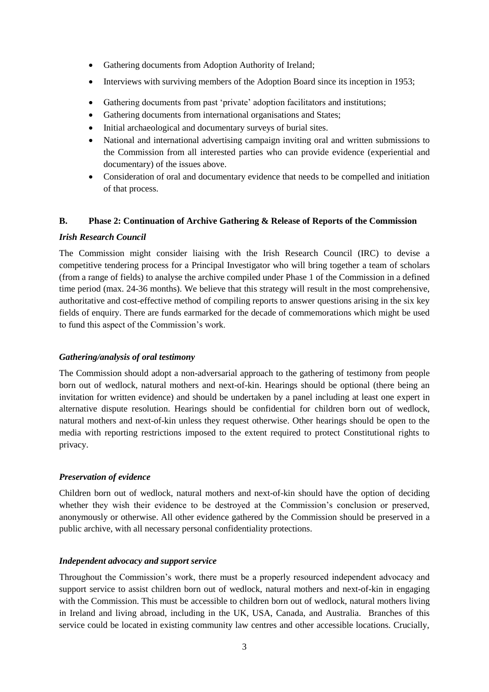- Gathering documents from Adoption Authority of Ireland;
- Interviews with surviving members of the Adoption Board since its inception in 1953;
- Gathering documents from past 'private' adoption facilitators and institutions;
- Gathering documents from international organisations and States;
- Initial archaeological and documentary surveys of burial sites.
- National and international advertising campaign inviting oral and written submissions to the Commission from all interested parties who can provide evidence (experiential and documentary) of the issues above.
- Consideration of oral and documentary evidence that needs to be compelled and initiation of that process.

### **B. Phase 2: Continuation of Archive Gathering & Release of Reports of the Commission**

### *Irish Research Council*

The Commission might consider liaising with the Irish Research Council (IRC) to devise a competitive tendering process for a Principal Investigator who will bring together a team of scholars (from a range of fields) to analyse the archive compiled under Phase 1 of the Commission in a defined time period (max. 24-36 months). We believe that this strategy will result in the most comprehensive, authoritative and cost-effective method of compiling reports to answer questions arising in the six key fields of enquiry. There are funds earmarked for the decade of commemorations which might be used to fund this aspect of the Commission's work.

## *Gathering/analysis of oral testimony*

The Commission should adopt a non-adversarial approach to the gathering of testimony from people born out of wedlock, natural mothers and next-of-kin. Hearings should be optional (there being an invitation for written evidence) and should be undertaken by a panel including at least one expert in alternative dispute resolution. Hearings should be confidential for children born out of wedlock, natural mothers and next-of-kin unless they request otherwise. Other hearings should be open to the media with reporting restrictions imposed to the extent required to protect Constitutional rights to privacy.

### *Preservation of evidence*

Children born out of wedlock, natural mothers and next-of-kin should have the option of deciding whether they wish their evidence to be destroyed at the Commission's conclusion or preserved, anonymously or otherwise. All other evidence gathered by the Commission should be preserved in a public archive, with all necessary personal confidentiality protections.

### *Independent advocacy and support service*

Throughout the Commission's work, there must be a properly resourced independent advocacy and support service to assist children born out of wedlock, natural mothers and next-of-kin in engaging with the Commission. This must be accessible to children born out of wedlock, natural mothers living in Ireland and living abroad, including in the UK, USA, Canada, and Australia. Branches of this service could be located in existing community law centres and other accessible locations. Crucially,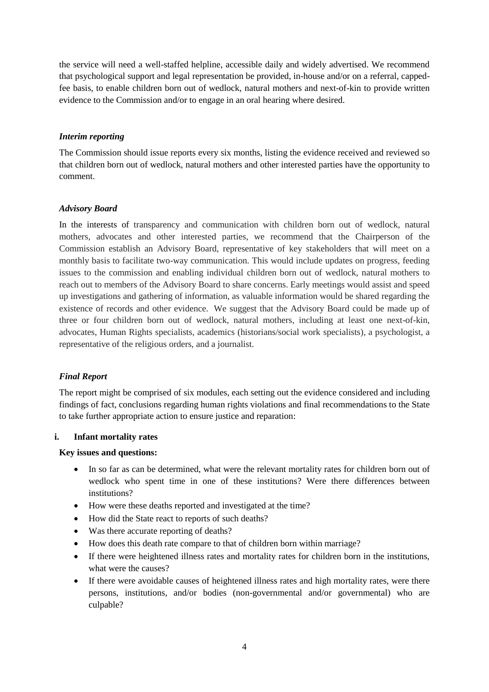the service will need a well-staffed helpline, accessible daily and widely advertised. We recommend that psychological support and legal representation be provided, in-house and/or on a referral, cappedfee basis, to enable children born out of wedlock, natural mothers and next-of-kin to provide written evidence to the Commission and/or to engage in an oral hearing where desired.

### *Interim reporting*

The Commission should issue reports every six months, listing the evidence received and reviewed so that children born out of wedlock, natural mothers and other interested parties have the opportunity to comment.

### *Advisory Board*

In the interests of transparency and communication with children born out of wedlock, natural mothers, advocates and other interested parties, we recommend that the Chairperson of the Commission establish an Advisory Board, representative of key stakeholders that will meet on a monthly basis to facilitate two-way communication. This would include updates on progress, feeding issues to the commission and enabling individual children born out of wedlock, natural mothers to reach out to members of the Advisory Board to share concerns. Early meetings would assist and speed up investigations and gathering of information, as valuable information would be shared regarding the existence of records and other evidence. We suggest that the Advisory Board could be made up of three or four children born out of wedlock, natural mothers, including at least one next-of-kin, advocates, Human Rights specialists, academics (historians/social work specialists), a psychologist, a representative of the religious orders, and a journalist.

## *Final Report*

The report might be comprised of six modules, each setting out the evidence considered and including findings of fact, conclusions regarding human rights violations and final recommendations to the State to take further appropriate action to ensure justice and reparation:

### **i. Infant mortality rates**

- In so far as can be determined, what were the relevant mortality rates for children born out of wedlock who spent time in one of these institutions? Were there differences between institutions?
- How were these deaths reported and investigated at the time?
- How did the State react to reports of such deaths?
- Was there accurate reporting of deaths?
- How does this death rate compare to that of children born within marriage?
- If there were heightened illness rates and mortality rates for children born in the institutions, what were the causes?
- If there were avoidable causes of heightened illness rates and high mortality rates, were there persons, institutions, and/or bodies (non-governmental and/or governmental) who are culpable?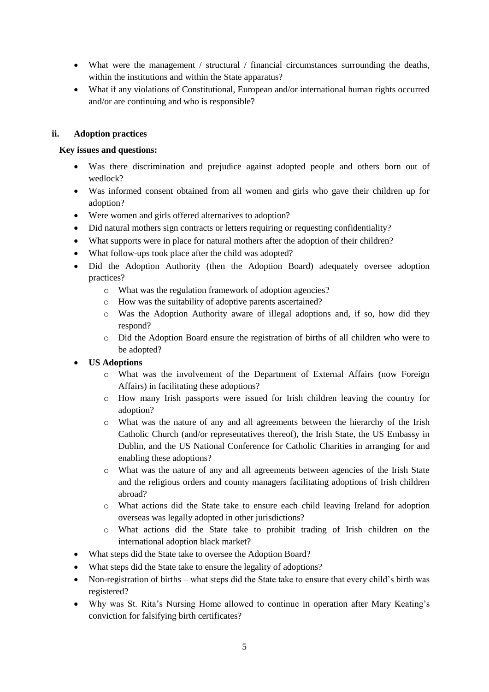- What were the management / structural / financial circumstances surrounding the deaths, within the institutions and within the State apparatus?
- What if any violations of Constitutional, European and/or international human rights occurred and/or are continuing and who is responsible?

## **ii. Adoption practices**

- Was there discrimination and prejudice against adopted people and others born out of wedlock?
- Was informed consent obtained from all women and girls who gave their children up for adoption?
- Were women and girls offered alternatives to adoption?
- Did natural mothers sign contracts or letters requiring or requesting confidentiality?
- What supports were in place for natural mothers after the adoption of their children?
- What follow-ups took place after the child was adopted?
- Did the Adoption Authority (then the Adoption Board) adequately oversee adoption practices?
	- o What was the regulation framework of adoption agencies?
	- o How was the suitability of adoptive parents ascertained?
	- o Was the Adoption Authority aware of illegal adoptions and, if so, how did they respond?
	- o Did the Adoption Board ensure the registration of births of all children who were to be adopted?
- **US Adoptions**
	- o What was the involvement of the Department of External Affairs (now Foreign Affairs) in facilitating these adoptions?
	- o How many Irish passports were issued for Irish children leaving the country for adoption?
	- o What was the nature of any and all agreements between the hierarchy of the Irish Catholic Church (and/or representatives thereof), the Irish State, the US Embassy in Dublin, and the US National Conference for Catholic Charities in arranging for and enabling these adoptions?
	- o What was the nature of any and all agreements between agencies of the Irish State and the religious orders and county managers facilitating adoptions of Irish children abroad?
	- o What actions did the State take to ensure each child leaving Ireland for adoption overseas was legally adopted in other jurisdictions?
	- o What actions did the State take to prohibit trading of Irish children on the international adoption black market?
- What steps did the State take to oversee the Adoption Board?
- What steps did the State take to ensure the legality of adoptions?
- Non-registration of births what steps did the State take to ensure that every child's birth was registered?
- Why was St. Rita's Nursing Home allowed to continue in operation after Mary Keating's conviction for falsifying birth certificates?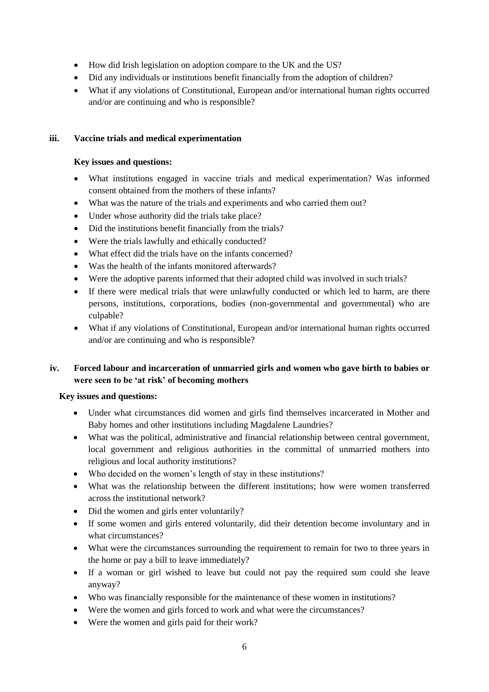- How did Irish legislation on adoption compare to the UK and the US?
- Did any individuals or institutions benefit financially from the adoption of children?
- What if any violations of Constitutional, European and/or international human rights occurred and/or are continuing and who is responsible?

## **iii. Vaccine trials and medical experimentation**

### **Key issues and questions:**

- What institutions engaged in vaccine trials and medical experimentation? Was informed consent obtained from the mothers of these infants?
- What was the nature of the trials and experiments and who carried them out?
- Under whose authority did the trials take place?
- Did the institutions benefit financially from the trials?
- Were the trials lawfully and ethically conducted?
- What effect did the trials have on the infants concerned?
- Was the health of the infants monitored afterwards?
- Were the adoptive parents informed that their adopted child was involved in such trials?
- If there were medical trials that were unlawfully conducted or which led to harm, are there persons, institutions, corporations, bodies (non-governmental and governmental) who are culpable?
- What if any violations of Constitutional, European and/or international human rights occurred and/or are continuing and who is responsible?

# **iv. Forced labour and incarceration of unmarried girls and women who gave birth to babies or were seen to be 'at risk' of becoming mothers**

- Under what circumstances did women and girls find themselves incarcerated in Mother and Baby homes and other institutions including Magdalene Laundries?
- What was the political, administrative and financial relationship between central government, local government and religious authorities in the committal of unmarried mothers into religious and local authority institutions?
- Who decided on the women's length of stay in these institutions?
- What was the relationship between the different institutions; how were women transferred across the institutional network?
- Did the women and girls enter voluntarily?
- If some women and girls entered voluntarily, did their detention become involuntary and in what circumstances?
- What were the circumstances surrounding the requirement to remain for two to three years in the home or pay a bill to leave immediately?
- If a woman or girl wished to leave but could not pay the required sum could she leave anyway?
- Who was financially responsible for the maintenance of these women in institutions?
- Were the women and girls forced to work and what were the circumstances?
- Were the women and girls paid for their work?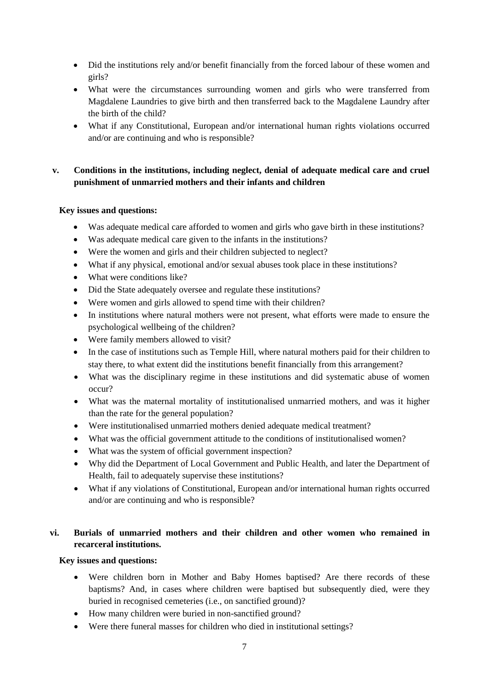- Did the institutions rely and/or benefit financially from the forced labour of these women and girls?
- What were the circumstances surrounding women and girls who were transferred from Magdalene Laundries to give birth and then transferred back to the Magdalene Laundry after the birth of the child?
- What if any Constitutional, European and/or international human rights violations occurred and/or are continuing and who is responsible?

# **v. Conditions in the institutions, including neglect, denial of adequate medical care and cruel punishment of unmarried mothers and their infants and children**

# **Key issues and questions:**

- Was adequate medical care afforded to women and girls who gave birth in these institutions?
- Was adequate medical care given to the infants in the institutions?
- Were the women and girls and their children subjected to neglect?
- What if any physical, emotional and/or sexual abuses took place in these institutions?
- What were conditions like?
- Did the State adequately oversee and regulate these institutions?
- Were women and girls allowed to spend time with their children?
- In institutions where natural mothers were not present, what efforts were made to ensure the psychological wellbeing of the children?
- Were family members allowed to visit?
- In the case of institutions such as Temple Hill, where natural mothers paid for their children to stay there, to what extent did the institutions benefit financially from this arrangement?
- What was the disciplinary regime in these institutions and did systematic abuse of women occur?
- What was the maternal mortality of institutionalised unmarried mothers, and was it higher than the rate for the general population?
- Were institutionalised unmarried mothers denied adequate medical treatment?
- What was the official government attitude to the conditions of institutionalised women?
- What was the system of official government inspection?
- Why did the Department of Local Government and Public Health, and later the Department of Health, fail to adequately supervise these institutions?
- What if any violations of Constitutional, European and/or international human rights occurred and/or are continuing and who is responsible?

# **vi. Burials of unmarried mothers and their children and other women who remained in recarceral institutions.**

- Were children born in Mother and Baby Homes baptised? Are there records of these baptisms? And, in cases where children were baptised but subsequently died, were they buried in recognised cemeteries (i.e., on sanctified ground)?
- How many children were buried in non-sanctified ground?
- Were there funeral masses for children who died in institutional settings?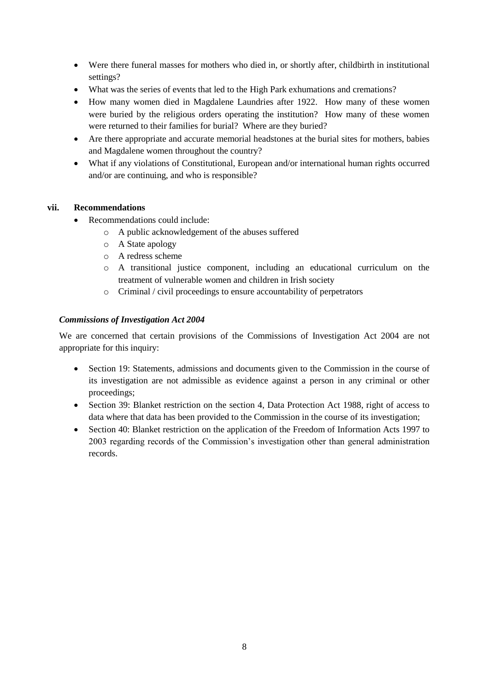- Were there funeral masses for mothers who died in, or shortly after, childbirth in institutional settings?
- What was the series of events that led to the High Park exhumations and cremations?
- How many women died in Magdalene Laundries after 1922. How many of these women were buried by the religious orders operating the institution? How many of these women were returned to their families for burial? Where are they buried?
- Are there appropriate and accurate memorial headstones at the burial sites for mothers, babies and Magdalene women throughout the country?
- What if any violations of Constitutional, European and/or international human rights occurred and/or are continuing, and who is responsible?

## **vii. Recommendations**

- Recommendations could include:
	- o A public acknowledgement of the abuses suffered
	- o A State apology
	- o A redress scheme
	- o A transitional justice component, including an educational curriculum on the treatment of vulnerable women and children in Irish society
	- o Criminal / civil proceedings to ensure accountability of perpetrators

### *Commissions of Investigation Act 2004*

We are concerned that certain provisions of the Commissions of Investigation Act 2004 are not appropriate for this inquiry:

- Section 19: Statements, admissions and documents given to the Commission in the course of its investigation are not admissible as evidence against a person in any criminal or other proceedings;
- Section 39: Blanket restriction on the section 4, Data Protection Act 1988, right of access to data where that data has been provided to the Commission in the course of its investigation;
- Section 40: Blanket restriction on the application of the Freedom of Information Acts 1997 to 2003 regarding records of the Commission's investigation other than general administration records.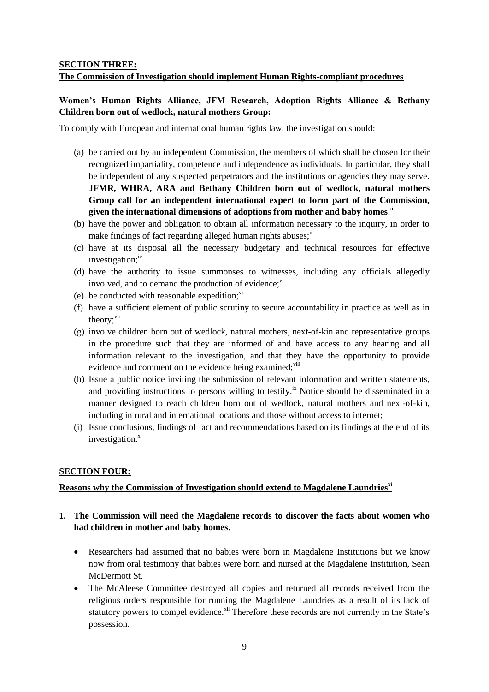# **SECTION THREE: The Commission of Investigation should implement Human Rights-compliant procedures**

## **Women's Human Rights Alliance, JFM Research, Adoption Rights Alliance & Bethany Children born out of wedlock, natural mothers Group:**

To comply with European and international human rights law, the investigation should:

- (a) be carried out by an independent Commission, the members of which shall be chosen for their recognized impartiality, competence and independence as individuals. In particular, they shall be independent of any suspected perpetrators and the institutions or agencies they may serve. **JFMR, WHRA, ARA and Bethany Children born out of wedlock, natural mothers Group call for an independent international expert to form part of the Commission,** given the international dimensions of adoptions from mother and baby homes.<sup>ii</sup>
- (b) have the power and obligation to obtain all information necessary to the inquiry, in order to make findings of fact regarding alleged human rights abuses; $\ddot{u}$
- (c) have at its disposal all the necessary budgetary and technical resources for effective investigation:<sup>iv</sup>
- (d) have the authority to issue summonses to witnesses, including any officials allegedly involved, and to demand the production of evidence; $v$
- (e) be conducted with reasonable expedition; $\ddot{v}$
- (f) have a sufficient element of public scrutiny to secure accountability in practice as well as in theory;<sup>vii</sup>
- (g) involve children born out of wedlock, natural mothers, next-of-kin and representative groups in the procedure such that they are informed of and have access to any hearing and all information relevant to the investigation, and that they have the opportunity to provide evidence and comment on the evidence being examined;<sup>viii</sup>
- (h) Issue a public notice inviting the submission of relevant information and written statements, and providing instructions to persons willing to testify.<sup>ix</sup> Notice should be disseminated in a manner designed to reach children born out of wedlock, natural mothers and next-of-kin, including in rural and international locations and those without access to internet;
- (i) Issue conclusions, findings of fact and recommendations based on its findings at the end of its investigation. $^x$

### **SECTION FOUR:**

## **Reasons why the Commission of Investigation should extend to Magdalene Laundriesxi**

## **1. The Commission will need the Magdalene records to discover the facts about women who had children in mother and baby homes**.

- Researchers had assumed that no babies were born in Magdalene Institutions but we know now from oral testimony that babies were born and nursed at the Magdalene Institution, Sean McDermott St.
- The McAleese Committee destroyed all copies and returned all records received from the religious orders responsible for running the Magdalene Laundries as a result of its lack of statutory powers to compel evidence.<sup>xii</sup> Therefore these records are not currently in the State's possession.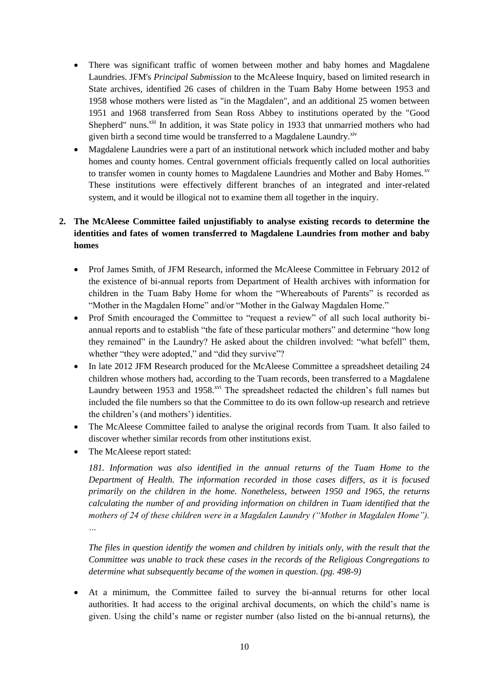- There was significant traffic of women between mother and baby homes and Magdalene Laundries. JFM's *Principal Submission* to the McAleese Inquiry, based on limited research in State archives, identified 26 cases of children in the Tuam Baby Home between 1953 and 1958 whose mothers were listed as "in the Magdalen", and an additional 25 women between 1951 and 1968 transferred from Sean Ross Abbey to institutions operated by the "Good Shepherd" nuns.<sup>xiii</sup> In addition, it was State policy in 1933 that unmarried mothers who had given birth a second time would be transferred to a Magdalene Laundry.<sup>xiv</sup>
- Magdalene Laundries were a part of an institutional network which included mother and baby homes and county homes. Central government officials frequently called on local authorities to transfer women in county homes to Magdalene Laundries and Mother and Baby Homes.<sup>xv</sup> These institutions were effectively different branches of an integrated and inter-related system, and it would be illogical not to examine them all together in the inquiry.

# **2. The McAleese Committee failed unjustifiably to analyse existing records to determine the identities and fates of women transferred to Magdalene Laundries from mother and baby homes**

- Prof James Smith, of JFM Research, informed the McAleese Committee in February 2012 of the existence of bi-annual reports from Department of Health archives with information for children in the Tuam Baby Home for whom the "Whereabouts of Parents" is recorded as "Mother in the Magdalen Home" and/or "Mother in the Galway Magdalen Home."
- Prof Smith encouraged the Committee to "request a review" of all such local authority biannual reports and to establish "the fate of these particular mothers" and determine "how long they remained" in the Laundry? He asked about the children involved: "what befell" them, whether "they were adopted," and "did they survive"?
- In late 2012 JFM Research produced for the McAleese Committee a spreadsheet detailing 24 children whose mothers had, according to the Tuam records, been transferred to a Magdalene Laundry between 1953 and 1958.<sup>xvi</sup> The spreadsheet redacted the children's full names but included the file numbers so that the Committee to do its own follow-up research and retrieve the children's (and mothers') identities.
- The McAleese Committee failed to analyse the original records from Tuam. It also failed to discover whether similar records from other institutions exist.
- The McAleese report stated:

181. Information was also identified in the annual returns of the Tuam Home to the *Department of Health. The information recorded in those cases differs, as it is focused primarily on the children in the home. Nonetheless, between 1950 and 1965, the returns calculating the number of and providing information on children in Tuam identified that the mothers of 24 of these children were in a Magdalen Laundry ("Mother in Magdalen Home"). …*

*The files in question identify the women and children by initials only, with the result that the Committee was unable to track these cases in the records of the Religious Congregations to determine what subsequently became of the women in question. (pg. 498-9)*

 At a minimum, the Committee failed to survey the bi-annual returns for other local authorities. It had access to the original archival documents, on which the child's name is given. Using the child's name or register number (also listed on the bi-annual returns), the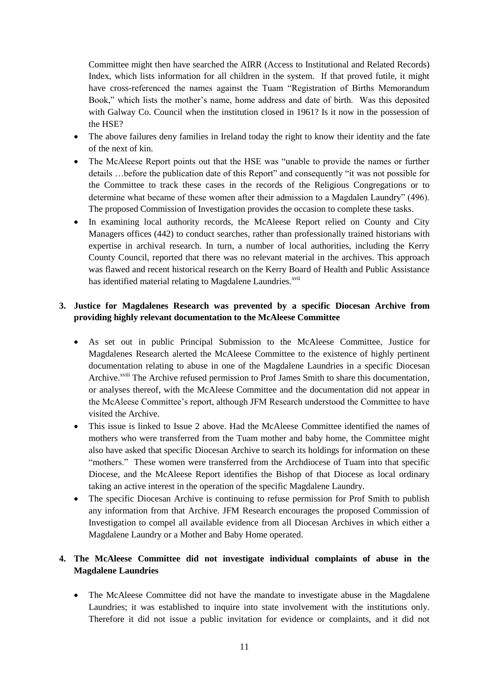Committee might then have searched the AIRR (Access to Institutional and Related Records) Index, which lists information for all children in the system. If that proved futile, it might have cross-referenced the names against the Tuam "Registration of Births Memorandum Book," which lists the mother's name, home address and date of birth. Was this deposited with Galway Co. Council when the institution closed in 1961? Is it now in the possession of the HSE?

- The above failures deny families in Ireland today the right to know their identity and the fate of the next of kin.
- The McAleese Report points out that the HSE was "unable to provide the names or further details …before the publication date of this Report" and consequently "it was not possible for the Committee to track these cases in the records of the Religious Congregations or to determine what became of these women after their admission to a Magdalen Laundry" (496). The proposed Commission of Investigation provides the occasion to complete these tasks.
- In examining local authority records, the McAleese Report relied on County and City Managers offices (442) to conduct searches, rather than professionally trained historians with expertise in archival research. In turn, a number of local authorities, including the Kerry County Council, reported that there was no relevant material in the archives. This approach was flawed and recent historical research on the Kerry Board of Health and Public Assistance has identified material relating to Magdalene Laundries.<sup>xvii</sup>

## **3. Justice for Magdalenes Research was prevented by a specific Diocesan Archive from providing highly relevant documentation to the McAleese Committee**

- As set out in public Principal Submission to the McAleese Committee, Justice for Magdalenes Research alerted the McAleese Committee to the existence of highly pertinent documentation relating to abuse in one of the Magdalene Laundries in a specific Diocesan Archive.<sup>xviii</sup> The Archive refused permission to Prof James Smith to share this documentation, or analyses thereof, with the McAleese Committee and the documentation did not appear in the McAleese Committee's report, although JFM Research understood the Committee to have visited the Archive.
- This issue is linked to Issue 2 above. Had the McAleese Committee identified the names of mothers who were transferred from the Tuam mother and baby home, the Committee might also have asked that specific Diocesan Archive to search its holdings for information on these "mothers." These women were transferred from the Archdiocese of Tuam into that specific Diocese, and the McAleese Report identifies the Bishop of that Diocese as local ordinary taking an active interest in the operation of the specific Magdalene Laundry.
- The specific Diocesan Archive is continuing to refuse permission for Prof Smith to publish any information from that Archive. JFM Research encourages the proposed Commission of Investigation to compel all available evidence from all Diocesan Archives in which either a Magdalene Laundry or a Mother and Baby Home operated.

# **4. The McAleese Committee did not investigate individual complaints of abuse in the Magdalene Laundries**

• The McAleese Committee did not have the mandate to investigate abuse in the Magdalene Laundries; it was established to inquire into state involvement with the institutions only. Therefore it did not issue a public invitation for evidence or complaints, and it did not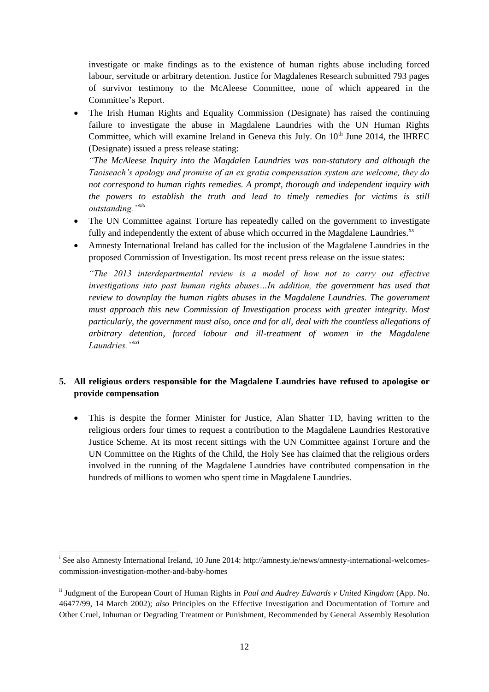investigate or make findings as to the existence of human rights abuse including forced labour, servitude or arbitrary detention. Justice for Magdalenes Research submitted 793 pages of survivor testimony to the McAleese Committee, none of which appeared in the Committee's Report.

 The Irish Human Rights and Equality Commission (Designate) has raised the continuing failure to investigate the abuse in Magdalene Laundries with the UN Human Rights Committee, which will examine Ireland in Geneva this July. On  $10<sup>th</sup>$  June 2014, the IHREC (Designate) issued a press release stating:

*"The McAleese Inquiry into the Magdalen Laundries was non-statutory and although the Taoiseach's apology and promise of an ex gratia compensation system are welcome, they do not correspond to human rights remedies. A prompt, thorough and independent inquiry with the powers to establish the truth and lead to timely remedies for victims is still outstanding."xix*

- The UN Committee against Torture has repeatedly called on the government to investigate fully and independently the extent of abuse which occurred in the Magdalene Laundries.<sup>xx</sup>
- Amnesty International Ireland has called for the inclusion of the Magdalene Laundries in the proposed Commission of Investigation. Its most recent press release on the issue states:

*"The 2013 interdepartmental review is a model of how not to carry out effective investigations into past human rights abuses…In addition, the government has used that review to downplay the human rights abuses in the Magdalene Laundries. The government must approach this new Commission of Investigation process with greater integrity. Most particularly, the government must also, once and for all, deal with the countless allegations of arbitrary detention, forced labour and ill-treatment of women in the Magdalene Laundries."xxi*

# **5. All religious orders responsible for the Magdalene Laundries have refused to apologise or provide compensation**

 This is despite the former Minister for Justice, Alan Shatter TD, having written to the religious orders four times to request a contribution to the Magdalene Laundries Restorative Justice Scheme. At its most recent sittings with the UN Committee against Torture and the UN Committee on the Rights of the Child, the Holy See has claimed that the religious orders involved in the running of the Magdalene Laundries have contributed compensation in the hundreds of millions to women who spent time in Magdalene Laundries.

**.** 

<sup>&</sup>lt;sup>i</sup> See also Amnesty International Ireland, 10 June 2014: http://amnesty.ie/news/amnesty-international-welcomescommission-investigation-mother-and-baby-homes

ii Judgment of the European Court of Human Rights in *Paul and Audrey Edwards v United Kingdom* (App. No. 46477/99, 14 March 2002); *also* Principles on the Effective Investigation and Documentation of Torture and Other Cruel, Inhuman or Degrading Treatment or Punishment, Recommended by General Assembly Resolution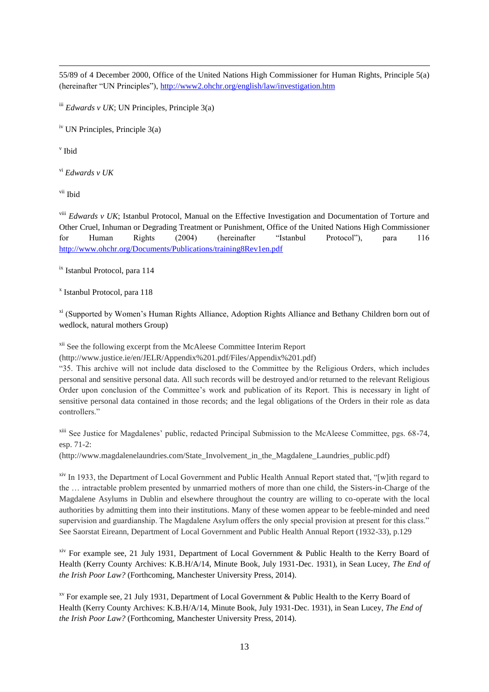55/89 of 4 December 2000, Office of the United Nations High Commissioner for Human Rights, Principle 5(a) (hereinafter "UN Principles"),<http://www2.ohchr.org/english/law/investigation.htm>

iii *Edwards v UK*; UN Principles, Principle 3(a)

iv UN Principles, Principle 3(a)

v Ibid

1

vi *Edwards v UK*

vii Ibid

viii *Edwards v UK*; Istanbul Protocol, Manual on the Effective Investigation and Documentation of Torture and Other Cruel, Inhuman or Degrading Treatment or Punishment, Office of the United Nations High Commissioner for Human Rights (2004) (hereinafter "Istanbul Protocol"), para 116 <http://www.ohchr.org/Documents/Publications/training8Rev1en.pdf>

ix Istanbul Protocol, para 114

x Istanbul Protocol, para 118

xi (Supported by Women's Human Rights Alliance, Adoption Rights Alliance and Bethany Children born out of wedlock, natural mothers Group)

xii See the following excerpt from the McAleese Committee Interim Report

(http://www.justice.ie/en/JELR/Appendix%201.pdf/Files/Appendix%201.pdf)

"35. This archive will not include data disclosed to the Committee by the Religious Orders, which includes personal and sensitive personal data. All such records will be destroyed and/or returned to the relevant Religious Order upon conclusion of the Committee's work and publication of its Report. This is necessary in light of sensitive personal data contained in those records; and the legal obligations of the Orders in their role as data controllers."

xiii See Justice for Magdalenes' public, redacted Principal Submission to the McAleese Committee, pgs. 68-74, esp. 71-2:

(http://www.magdalenelaundries.com/State\_Involvement\_in\_the\_Magdalene\_Laundries\_public.pdf)

<sup>xiv</sup> In 1933, the Department of Local Government and Public Health Annual Report stated that, "[w]ith regard to the … intractable problem presented by unmarried mothers of more than one child, the Sisters-in-Charge of the Magdalene Asylums in Dublin and elsewhere throughout the country are willing to co-operate with the local authorities by admitting them into their institutions. Many of these women appear to be feeble-minded and need supervision and guardianship. The Magdalene Asylum offers the only special provision at present for this class." See Saorstat Eireann, Department of Local Government and Public Health Annual Report (1932-33), p.129

xiv For example see, 21 July 1931, Department of Local Government & Public Health to the Kerry Board of Health (Kerry County Archives: K.B.H/A/14, Minute Book, July 1931-Dec. 1931), in Sean Lucey, *The End of the Irish Poor Law?* (Forthcoming, Manchester University Press, 2014).

<sup>xv</sup> For example see, 21 July 1931, Department of Local Government & Public Health to the Kerry Board of Health (Kerry County Archives: K.B.H/A/14, Minute Book, July 1931-Dec. 1931), in Sean Lucey, *The End of the Irish Poor Law?* (Forthcoming, Manchester University Press, 2014).